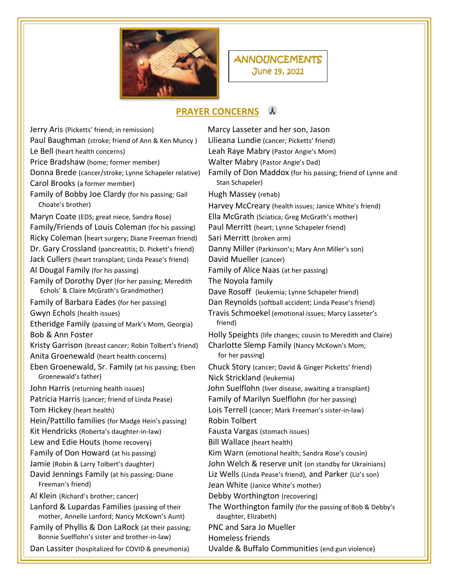

## **ANNOUNCEMENTS** June 19, 2022

## **PRAYER CONCERNS**

Jerry Aris (Picketts' friend; in remission) Marcy Lasseter and her son, Jason Paul Baughman (stroke; friend of Ann & Ken Muncy ) Lilieana Lundie (cancer; Picketts' friend) Le Bell (heart health concerns) Leah Raye Mabry (Pastor Angie's Mom) Price Bradshaw (home; former member) Walter Mabry (Pastor Angie's Dad) Carol Brooks (a former member) Stan Schapeler) Family of Bobby Joe Clardy (for his passing; Gail Hugh Massey (rehab) Maryn Coate (EDS; great niece, Sandra Rose) Ella McGrath (Sciatica; Greg McGrath's mother) Family/Friends of Louis Coleman (for his passing) Paul Merritt (heart; Lynne Schapeler friend) Ricky Coleman (heart surgery; Diane Freeman friend) Sari Merritt (broken arm) Dr. Gary Crossland (pancreatitis; D. Pickett's friend) Danny Miller (Parkinson's; Mary Ann Miller's son) Jack Cullers (heart transplant; Linda Pease's friend) David Mueller (cancer) Al Dougal Family (for his passing) Family of Alice Naas (at her passing) Family of Dorothy Dyer (for her passing; Meredith The Noyola family Echols' & Claire McGrath's Grandmother) Dave Rosoff (leukemia; Lynne Schapeler friend) Family of Barbara Eades (for her passing) Dan Reynolds (softball accident; Linda Pease's friend) Gwyn Echols (health issues) Travis Schmoekel (emotional issues; Marcy Lasseter's Etheridge Family (passing of Mark's Mom, Georgia) friend) Kristy Garrison (breast cancer; Robin Tolbert's friend) Charlotte Slemp Family (Nancy McKown's Mom; Anita Groenewald (heart health concerns) for her passing) Eben Groenewald, Sr. Family (at his passing; Eben Chuck Story (cancer; David & Ginger Picketts' friend) Groenewald's father) and the Communist Communist Communist Communist Communist Communist Communist Communist Communist Communist Communist Communist Communist Communist Communist Communist Communist Communist Communist Com John Harris (returning health issues) John Suelflohn (liver disease, awaiting a transplant) Patricia Harris (cancer; friend of Linda Pease) Family of Marilyn Suelflohn (for her passing) Tom Hickey (heart health) Lois Terrell (cancer; Mark Freeman's sister-in-law) Hein/Pattillo families (for Madge Hein's passing) Robin Tolbert Kit Hendricks (Roberta's daughter-in-law) Fausta Vargas (stomach issues) Lew and Edie Houts (home recovery) Bill Wallace (heart health) Family of Don Howard (at his passing) Kim Warn (emotional health; Sandra Rose's cousin) David Jennings Family (at his passing; Diane Liz Wells (Linda Pease's friend), and Parker (Liz's son) Freeman's friend) The South Communist Communist Communist Communist Communist Communist Communist Communist Communist Communist Communist Communist Communist Communist Communist Communist Communist Communist Communist Comm Al Klein (Richard's brother; cancer) Debby Worthington (recovering) mother, Annelle Lanford; Nancy McKown's Aunt) daughter, Elizabeth) Family of Phyllis & Don LaRock (at their passing; PNC and Sara Jo Mueller Bonnie Suelflohn's sister and brother-in-law) Homeless friends

Donna Brede (cancer/stroke; Lynne Schapeler relative) Family of Don Maddox (for his passing; friend of Lynne and Choate's brother) Harvey McCreary (health issues; Janice White's friend) Bob & Ann Foster **Holly Speights (life changes; cousin to Meredith and Claire)** Bob & Ann Foster Jamie (Robin & Larry Tolbert's daughter) John Welch & reserve unit (on standby for Ukrainians) Lanford & Lupardas Families (passing of their The Worthington family (for the passing of Bob & Debby's

Dan Lassiter (hospitalized for COVID & pneumonia) Uvalde & Buffalo Communities (end gun violence)